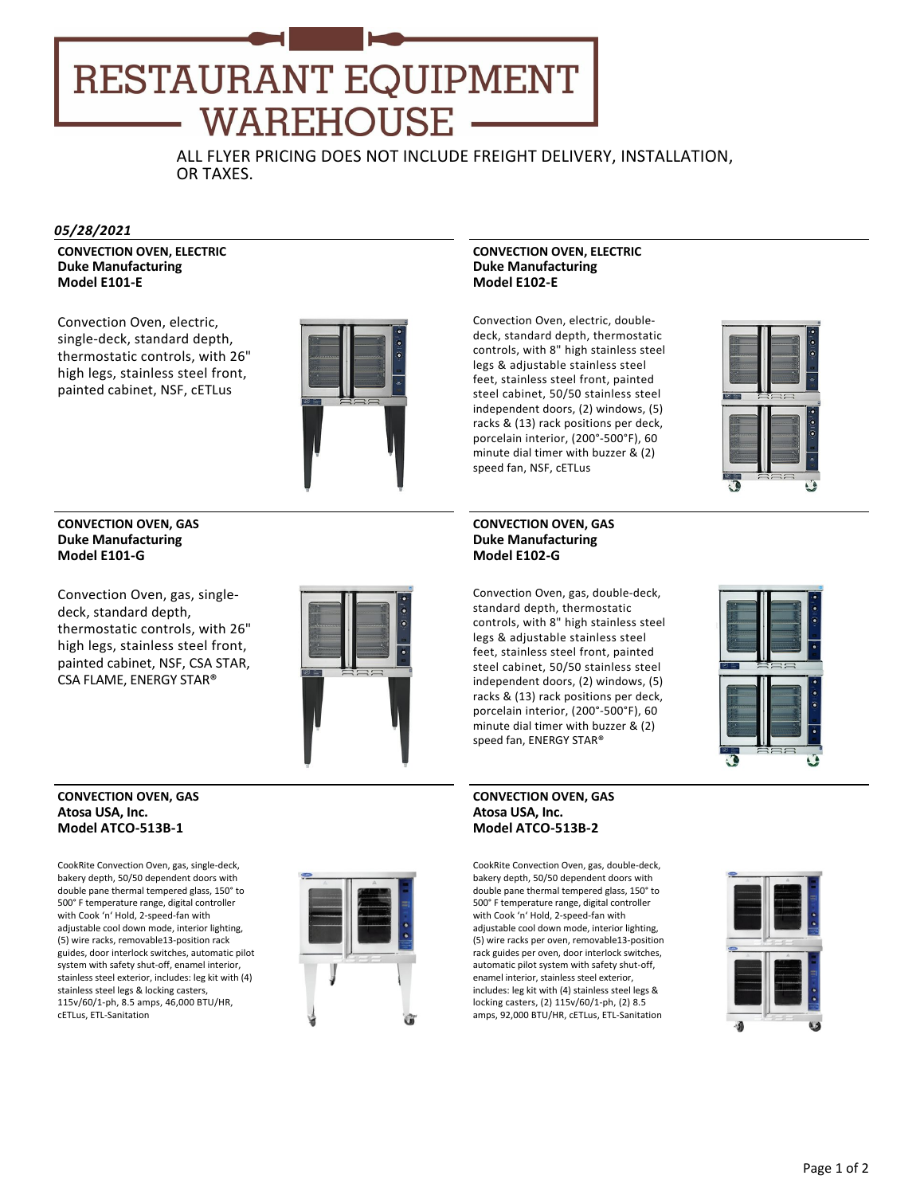# **RESTAURANT EQUIPMENT WAREHOUSE**

ALL FLYER PRICING DOES NOT INCLUDE FREIGHT DELIVERY, INSTALLATION, OR TAXES.

#### *05/28/2021*

**CONVECTION OVEN, ELECTRIC Duke Manufacturing Model E101‐E**

Convection Oven, electric, single‐deck, standard depth, thermostatic controls, with 26" high legs, stainless steel front, painted cabinet, NSF, cETLus



#### **CONVECTION OVEN, GAS Duke Manufacturing Model E101‐G**

Convection Oven, gas, single‐ deck, standard depth, thermostatic controls, with 26" high legs, stainless steel front, painted cabinet, NSF, CSA STAR, CSA FLAME, ENERGY STAR®



#### **CONVECTION OVEN, GAS Atosa USA, Inc. Model ATCO‐513B‐1**

CookRite Convection Oven, gas, single‐deck, bakery depth, 50/50 dependent doors with double pane thermal tempered glass, 150° to 500° F temperature range, digital controller with Cook 'n' Hold, 2‐speed‐fan with adjustable cool down mode, interior lighting, (5) wire racks, removable13‐position rack guides, door interlock switches, automatic pilot system with safety shut‐off, enamel interior, stainless steel exterior, includes: leg kit with (4) stainless steel legs & locking casters, 115v/60/1‐ph, 8.5 amps, 46,000 BTU/HR, cETLus, ETL‐Sanitation



## **CONVECTION OVEN, ELECTRIC Duke Manufacturing Model E102‐E**

Convection Oven, electric, double‐ deck, standard depth, thermostatic controls, with 8" high stainless steel legs & adjustable stainless steel feet, stainless steel front, painted steel cabinet, 50/50 stainless steel independent doors, (2) windows, (5) racks & (13) rack positions per deck, porcelain interior, (200°‐500°F), 60 minute dial timer with buzzer & (2) speed fan, NSF, cETLus



Convection Oven, gas, double‐deck, standard depth, thermostatic controls, with 8" high stainless steel legs & adjustable stainless steel feet, stainless steel front, painted steel cabinet, 50/50 stainless steel independent doors, (2) windows, (5) racks & (13) rack positions per deck, porcelain interior, (200°‐500°F), 60 minute dial timer with buzzer & (2) speed fan, ENERGY STAR®

# **CONVECTION OVEN, GAS Atosa USA, Inc. Model ATCO‐513B‐2**

CookRite Convection Oven, gas, double‐deck, bakery depth, 50/50 dependent doors with double pane thermal tempered glass, 150° to 500° F temperature range, digital controller with Cook 'n' Hold, 2‐speed‐fan with adjustable cool down mode, interior lighting, (5) wire racks per oven, removable13‐position rack guides per oven, door interlock switches, automatic pilot system with safety shut‐off, enamel interior, stainless steel exterior, includes: leg kit with (4) stainless steel legs & locking casters, (2) 115v/60/1‐ph, (2) 8.5 amps, 92,000 BTU/HR, cETLus, ETL‐Sanitation